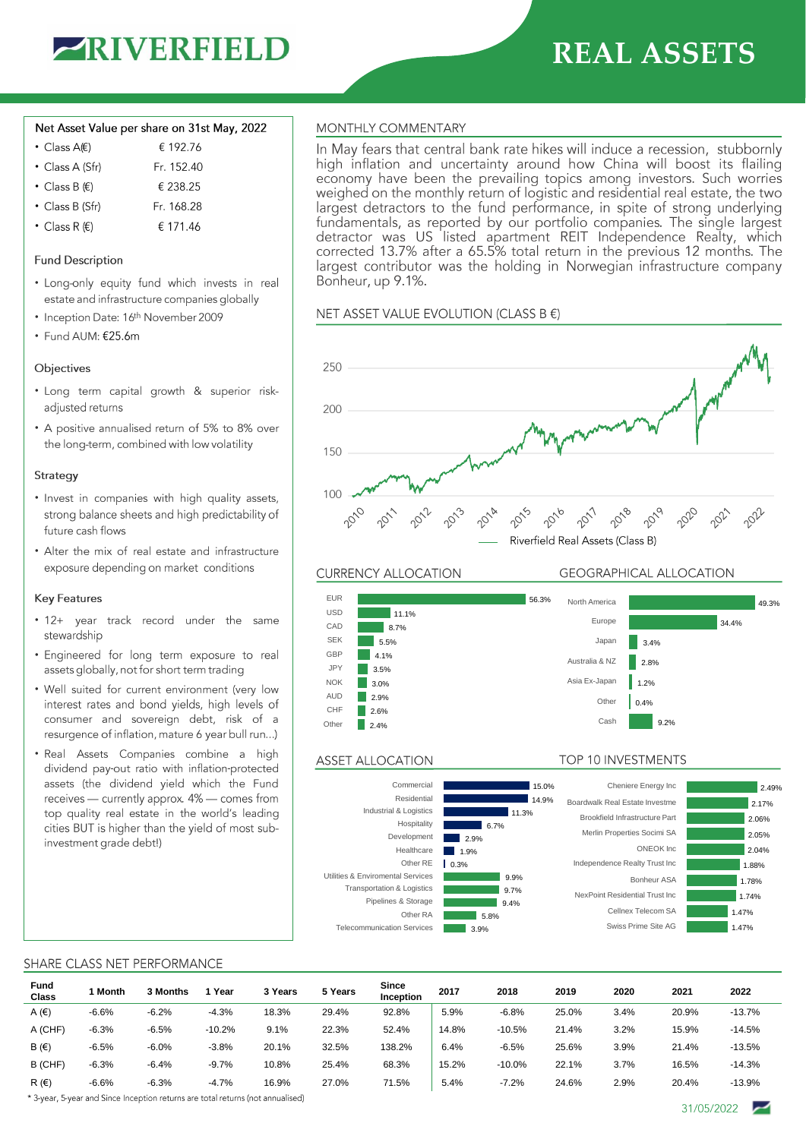

# **REAL ASSETS**

### Net Asset Value per share on 31st May, 2022

| € 192.76   |
|------------|
| Fr. 152.40 |
| € 238.25   |
| Fr. 168.28 |
|            |

• Class R  $(E)$ € 171.46

# **Fund Description**

- Long-only equity fund which invests in real estate and infrastructure companies globally
- Inception Date: 16th November 2009
- Fund AUM: €25.6m

## Objectives

- · Long term capital growth & superior riskadjusted returns
- A positive annualised return of 5% to 8% over the long-term, combined with low volatility

#### Strategy

- Invest in companies with high quality assets, strong balance sheets and high predictability of future cash flows
- Alter the mix of real estate and infrastructure exposure depending on market conditions

## **Key Features**

- 12+ year track record under the same stewardship
- Engineered for long term exposure to real assets globally, not for short term trading
- Well suited for current environment (very low interest rates and bond yields, high levels of consumer and sovereign debt, risk of a resurgence of inflation, mature 6 year bull run...)
- · Real Assets Companies combine a high dividend pay-out ratio with inflation-protected assets (the dividend yield which the Fund receives — currently approx. 4% — comes from top quality real estate in the world's leading cities BUT is higher than the yield of most subinvestment grade debt!)

# MONTHLY COMMENTARY

In May fears that central bank rate hikes will induce a recession, stubbornly high inflation and uncertainty around how China will boost its flailing economy have been the prevailing topics among investors. Such worries weighed on the monthly return of logistic and residential real estate, the two largest detractors to the fund performance, in spite of strong underlying fundamentals, as reported by our portfolio companies. The single largest detractor was US listed apartment REIT Independence Realty, which corrected 13.7% after a 65.5% total return in the previous 12 months. The largest contributor was the holding in Norwegian infrastructure company Bonheur, up 9.1%.

NET ASSET VALUE EVOLUTION (CLASS B €)



**CURRENCY ALLOCATION** 

## **GEOGRAPHICAL ALLOCATION**

TOP 10 INVESTMENTS



## **ASSET ALLOCATION**



#### SHARE CLASS NET PERFORMANCE

| Fund<br>Class  | Month   | 3 Months | Year     | 3 Years | 5 Years | Since<br>Inception | 2017  | 2018     | 2019  | 2020 | 2021  | 2022     |
|----------------|---------|----------|----------|---------|---------|--------------------|-------|----------|-------|------|-------|----------|
| A $(\epsilon)$ | $-6.6%$ | $-6.2%$  | $-4.3%$  | 18.3%   | 29.4%   | 92.8%              | 5.9%  | $-6.8%$  | 25.0% | 3.4% | 20.9% | $-13.7%$ |
| A (CHF)        | $-6.3%$ | $-6.5%$  | $-10.2%$ | 9.1%    | 22.3%   | 52.4%              | 14.8% | $-10.5%$ | 21.4% | 3.2% | 15.9% | $-14.5%$ |
| B(f)           | $-6.5%$ | $-6.0%$  | $-3.8%$  | 20.1%   | 32.5%   | 138.2%             | 6.4%  | $-6.5%$  | 25.6% | 3.9% | 21.4% | $-13.5%$ |
| B (CHF)        | $-6.3%$ | $-6.4%$  | $-9.7%$  | 10.8%   | 25.4%   | 68.3%              | 15.2% | $-10.0%$ | 22.1% | 3.7% | 16.5% | $-14.3%$ |
| R(f)           | $-6.6%$ | $-6.3%$  | $-4.7%$  | 16.9%   | 27.0%   | 71.5%              | 5.4%  | $-7.2%$  | 24.6% | 2.9% | 20.4% | $-13.9%$ |

\* 3-year, 5-year and Since Inception returns are total returns (not annualised)